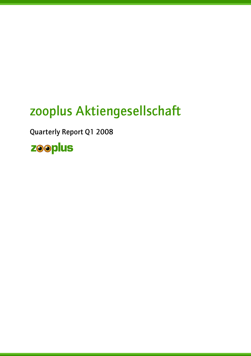# zooplus Aktiengesellschaft

Quarterly Report Q1 2008

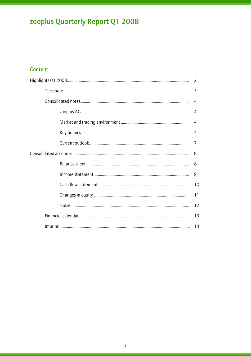### Content

|  | $\mathcal{L}$  |  |
|--|----------------|--|
|  | 3              |  |
|  | $\overline{4}$ |  |
|  | 4              |  |
|  | $\overline{4}$ |  |
|  | 4              |  |
|  | 7              |  |
|  |                |  |
|  | 8              |  |
|  | $\overline{9}$ |  |
|  |                |  |
|  | 11             |  |
|  | 12             |  |
|  | 13             |  |
|  |                |  |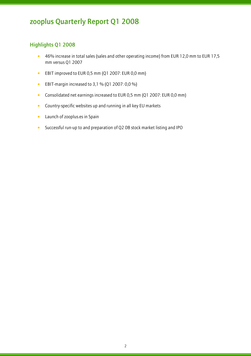### Highlights Q1 2008

- 46% increase in total sales (sales and other operating income) from EUR 12,0 mm to EUR 17,5 mm versus Q1 2007
- EBIT improved to EUR 0,5 mm (Q1 2007: EUR 0,0 mm)
- EBIT-margin increased to 3,1 % (Q1 2007: 0,0 %)
- Consolidated net earnings increased to EUR 0,5 mm (Q1 2007: EUR 0,0 mm)
- Country-specific websites up and running in all key EU markets
- Launch of zooplus.es in Spain
- Successful run-up to and preparation of Q2 08 stock market listing and IPO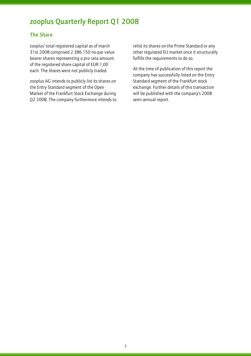### The Share

l

zooplus' total registered capital as of march 31st 2008 comprised 2.386.150 no-par value bearer shares representing a pro rata amount of the registered share capital of EUR 1,00 each. The shares were not publicly traded.

zooplus AG intends to publicly list its shares on the Entry Standard segment of the Open Market of the Frankfurt Stock Exchange during Q2 2008. The company furthermore intends to relist its shares on the Prime Standard or any other regulated EU market once it structurally fulfills the requirements to do so.

At the time of publication of this report the company has successfully listed on the Entry Standard segment of the Frankfurt stock exchange. Further details of this transaction will be published with the company's 2008 semi-annual report.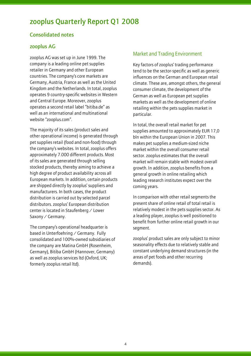### Consolidated notes

### zooplus AG

l

zooplus AG was set up in June 1999. The company is a leading online pet supplies retailer in Germany and other European countries. The company's core markets are Germany, Austria, France as well as the United Kingdom and the Netherlands. In total, zooplus operates 9 country-specific websites in Western and Central Europe. Moreover, zooplus operates a second retail label "bitiba.de" as well as an international and multinational website "zooplus.com".

The majority of its sales (product sales and other operational income) is generated through pet supplies retail (food and non-food) through the company's websites. In total, zooplus offers approximately 7.000 different products. Most of its sales are generated through selling stocked products, thereby aiming to achieve a high degree of product availability across all European markets. In addition, certain products are shipped directly by zooplus' suppliers and manufacturers. In both cases, the product distribution is carried out by selected parcel distributors. zooplus' European distribution center is located in Staufenberg / Lower Saxony / Germany.

The company's operational headquarter is based in Unterfoehring / Germany. Fully consolidated and 100%-owned subsidiaries of the company are Matina GmbH (Rosenheim, Germany), Bitiba GmbH (Hannover, Germany) as well as zooplus services ltd (Oxford, UK; formerly zooplus retail ltd).

### Market and Trading Environment

Key factors of zooplus' trading performance tend to be the sector-specific as well as generic influences on the German and European retail climate. These are, amongst others, the general consumer climate, the development of the German as well as European pet supplies markets as well as the development of online retailing within the pets supplies market in particular.

In total, the overall retail market for pet supplies amounted to approximately EUR 17,0 bln within the European Union in 2007. This makes pet supplies a medium-sized niche market within the overall consumer retail sector. zooplus estimates that the overall market will remain stable with modest overall growth. In addition, zooplus benefits from a general growth in online retailing which leading research institutes expect over the coming years.

In comparison with other retail segments the present share of online retail of total retail is relatively modest in the pets supplies sector. As a leading player, zooplus is well positioned to benefit from further online retail growth in our segment.

zooplus' product sales are only subject to minor seasonality effects due to relatively stable and constant underlying demand structures (in the areas of pet foods and other recurring demands).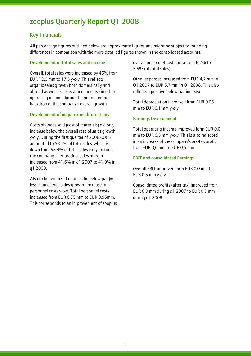### Key financials

l

All percentage figures outlined below are approximate figures and might be subject to rounding differences in comparison with the more detailed figures shown in the consolidated accounts.

#### Development of total sales and income

Overall, total sales were increased by 46% from EUR 12,0 mm to 17,5 y-o-y. This reflects organic sales growth both domestically and abroad as well as a sustained increase in other operating income during the period on the backdrop of the company's overall growth.

#### Development of major expenditure items

Costs of goods sold (cost of materials) did only increase below the overall rate of sales growth y-o-y. During the first quarter of 2008 COGS amounted to 58,1% of total sales, which is down from 58,4% of total sales y-o-y. In tune, the company's net product sales margin increased from 41,6% in q1 2007 to 41,9% in q1 2008.

Also to be remarked upon is the below-par  $(=$ less than overall sales growth) increase in personnel costs y-o-y. Total personnel costs increased from EUR 0,75 mm to EUR 0,96mm. This corresponds to an improvement of zooplus' overall personnel cost quota from 6,2% to 5,5% (of total sales).

Other expenses increased from EUR 4,2 mm in Q1 2007 to EUR 5,7 mm in Q1 2008. This also reflects a positive below-par increase.

Total depreciation increased from EUR 0,05 mm to EUR 0,1 mm y-o-y.

### Earnings Development

Total operating income improved form EUR 0,0 mm to EUR 0,5 mm y-o-y. This is also reflected in an increase of the company's pre-tax profit from EUR 0,0 mm to EUR 0,5 mm.

### EBIT and consolidated Earnings

Overall EBIT improved form EUR 0,0 mm to EUR 0,5 mm y-o-y.

Consolidated profits (after tax) improved from EUR 0,0 mm during q1 2007 to EUR 0,5 mm during q1 2008.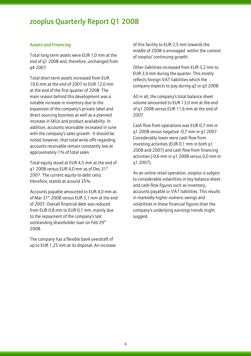#### Assets and Financing

l

Total long-term assets were EUR 1,0 mm at the end of q1 2008 and, therefore, unchanged from q4 2007.

Total short-term assets increased from EUR 10,6 mm at the end of 2007 to EUR 12,0 mm at the end of the first quarter of 2008. The main reason behind this development was a notable increase in inventory due to the expansion of the company's private label and direct sourcing business as well as a planned increase in SKUs and product availability. In addition, accounts receivable increased in tune with the company's sales growth. It should be noted, however, that total write-offs regarding accounts receivable remain constantly low at approximately 1% of total sales.

Total equity stood at EUR 4,5 mm at the end of q1 2008 versus EUR 4,0 mm as of Dec  $31<sup>st</sup>$ 2007. The current equity-to-debt ratio, therefore, stands at around 35%.

Accounts payable amounted to EUR 4,0 mm as of Mar 31<sup>st</sup> 2008 versus EUR 3.1 mm at the end of 2007. Overall financial debt was reduced from EUR 0,8 mm to EUR 0,1 mm, mainly due to the repayment of the company's last outstanding shareholder loan on Feb 29<sup>th</sup> 2008.

The company has a flexible bank overdraft of up to EUR 1,25 mm at its disposal. An increase of this facility to EUR 2,5 mm towards the middle of 2008 is envisaged within the context of zooplus' continuing growth.

Other liabilities increased from EUR 3,2 mm to EUR 3,9 mm during the quarter. This mostly reflects foreign VAT liabilities which the company expects to pay during q2 or q3 2008.

All in all, the company's total balance sheet volume amounted to EUR 13,0 mm at the end of q1 2008 versus EUR 11,6 mm at the end of 2007.

Cash flow from operations was EUR 0,7 mm in q1 2008 versus negative -0,7 mm in q1 2007. Considerably lower were cash flow from investing activities (EUR 0,1 mm in both q1 2008 and 2007) and cash flow from financing activities (-0,6 mm in q1 2008 versus 0,0 mm in q1 2007).

As an online retail operation, zooplus is subject to considerable volatilities in key balance-sheet and cash-flow figures such as inventory, accounts payable or VAT liabilities. This results in markedly higher numeric swings and volatilities in these financial figures than the company's underlying earnings trends might suggest.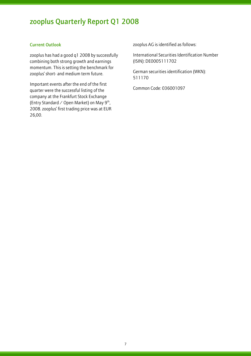### Current Outlook

l

zooplus has had a good q1 2008 by successfully combining both strong growth and earnings momentum. This is setting the benchmark for zooplus' short- and medium term future.

Important events after the end of the first quarter were the successful listing of the company at the Frankfurt Stock Exchange (Entry Standard / Open Market) on May  $9^{th}$ , 2008. zooplus' first trading price was at EUR 26,00.

zooplus AG is identified as follows:

International Securities Identification Number (ISIN): DE0005111702

German securities identification (WKN): 511170

Common Code: 036001097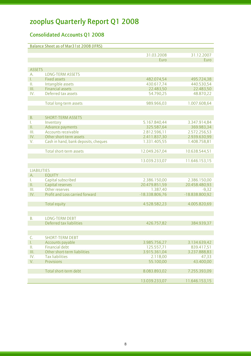### Consolidated Accounts Q1 2008

|                    | <b>Balance Sheet as of Mar31st 2008 (IFRS)</b>    |                        |                         |
|--------------------|---------------------------------------------------|------------------------|-------------------------|
|                    |                                                   |                        |                         |
|                    |                                                   | 31.03.2008             | 31.12.2007              |
|                    |                                                   | Euro                   | Euro                    |
|                    |                                                   |                        |                         |
| <b>ASSETS</b>      |                                                   |                        |                         |
| А.                 | <b>LONG-TERM ASSETS</b>                           |                        |                         |
| L.                 | <b>Fixed assets</b>                               | 482.074,54             | 495.724,38              |
| Ш.<br>Ш.           | Intangible assets<br><b>Financial assets</b>      | 430.617,74             | 440.530,54<br>22.483,50 |
| IV.                | Deferred tax assets                               | 22.483,50<br>54.790,25 |                         |
|                    |                                                   |                        | 48.870,22               |
|                    | Total long-term assets                            | 989.966,03             | 1.007.608,64            |
|                    |                                                   |                        |                         |
|                    |                                                   |                        |                         |
| В.                 | <b>SHORT-TERM ASSETS</b>                          |                        |                         |
| L.                 | Inventory                                         | 5.167.840,44           | 3.347.914,84            |
| П.                 | Advance payments                                  | 325.587,64             | 369.983,34              |
| III.               | <b>Accounts receivable</b>                        | 2.812.596,11           | 2.572.256,53            |
| IV.                | Other short-term assets                           | 2.411.837,30           | 2.939.630,99            |
| V.                 | Cash in hand, bank deposits, cheques              | 1.331.405,55           | 1.408.758,81            |
|                    |                                                   |                        |                         |
|                    | Total short-term assets                           | 12.049.267,04          | 10.638.544,51           |
|                    |                                                   |                        |                         |
|                    |                                                   | 13.039.233,07          | 11.646.153,15           |
|                    |                                                   |                        |                         |
| <b>LIABILITIES</b> |                                                   |                        |                         |
| A.                 | <b>EQUITY</b>                                     |                        |                         |
| L.                 | Capital subscribed                                | 2.386.150,00           | 2.386.150,00            |
| Ш.                 | Capital reserves                                  | 20.479.851,59          | 20.458.480,93           |
| Ш.                 | Other reserves                                    | 1.387,40               | $-9,32$                 |
| IV.                | Profit and Loss carried forward                   | -18.338.806,76         | -18.838.800,92          |
|                    |                                                   |                        |                         |
|                    | <b>Total equity</b>                               | 4.528.582,23           | 4.005.820,69            |
|                    |                                                   |                        |                         |
|                    |                                                   |                        |                         |
| В.                 | <b>LONG-TERM DEBT</b><br>Deferred tax liabilities |                        |                         |
|                    |                                                   | 426.757,82             | 384.939,37              |
|                    |                                                   |                        |                         |
| C.                 | <b>SHORT-TERM DEBT</b>                            |                        |                         |
| L.                 | Accounts payable                                  | 3.985.756,27           | 3.134.639,42            |
| Ш.                 | <b>Financial debt</b>                             | 125.557,71             | 839.417,51              |
| Ш.                 | Other short-term liabilities                      | 3.915.361,04           | 3.237.888,83            |
| IV.                | <b>Tax liabilities</b>                            | 2.118,00               | 47,33                   |
| V.                 | Provisions                                        | 55.100,00              | 43.400,00               |
|                    |                                                   |                        |                         |
|                    | Total short-term debt                             | 8.083.893,02           | 7.255.393,09            |
|                    |                                                   |                        |                         |
|                    |                                                   | 13.039.233,07          | 11.646.153,15           |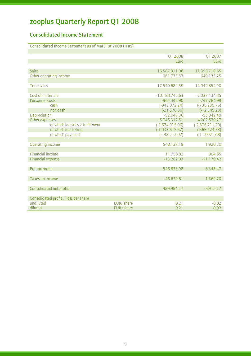### Consolidated Income Statement

| <b>Consolidated Income Statement as of Mar31st 2008 (IFRS)</b> |           |                    |                   |
|----------------------------------------------------------------|-----------|--------------------|-------------------|
|                                                                |           |                    |                   |
|                                                                |           | Q1 2008            | Q1 2007           |
|                                                                |           | Euro               | Euro              |
|                                                                |           |                    |                   |
| <b>Sales</b>                                                   |           | 16.587.911,06      | 11.393.719,65     |
| Other operating income                                         |           | 961.773,53         | 649.133,25        |
|                                                                |           |                    |                   |
| <b>Total sales</b>                                             |           | 17.549.684,59      | 12.042.852,90     |
|                                                                |           |                    |                   |
| Cost of materials                                              |           | $-10.198.742.63$   | $-7.037.434,85$   |
| Personnel costs                                                |           | $-964.442,90$      | -747.784,99       |
| cash                                                           |           | $(-943.072, 24)$   | $(-735.235,76)$   |
| non-cash                                                       |           | $(-21.370,66)$     | $(-12.549, 23)$   |
| Depreciation                                                   |           | $-92.049,36$       | $-53.042,49$      |
| Other expenses                                                 |           | $-5.746.312,51$    | $-4.202.670,27$   |
| of which logistics / fulfillment                               |           | $(-3.674.915,06)$  | $(-2.876.711,20)$ |
| of which marketing                                             |           | $(-1.033.615, 62)$ | $(-665.424,73)$   |
| of which payment                                               |           | $(-148.212,07)$    | $(-112.021,08)$   |
|                                                                |           |                    |                   |
| Operating income                                               |           | 548.137,19         | 1.920,30          |
|                                                                |           |                    |                   |
| Financial income                                               |           | 11.758,82          | 904,65            |
| <b>Financial expense</b>                                       |           | $-13.262,03$       | $-11.170,42$      |
|                                                                |           |                    |                   |
| Pre-tax profit                                                 |           | 546.633,98         | $-8.345,47$       |
|                                                                |           |                    |                   |
| Taxes on income                                                |           | $-46.639,81$       | $-1.569,70$       |
|                                                                |           |                    |                   |
| Consolidated net profit                                        |           | 499.994,17         | $-9.915,17$       |
|                                                                |           |                    |                   |
| Consolidated profit ∕ loss per share                           |           |                    |                   |
| undiluted                                                      | EUR/share | 0,21               | $-0,02$           |
| diluted                                                        | EUR/share | 0,21               | $-0,02$           |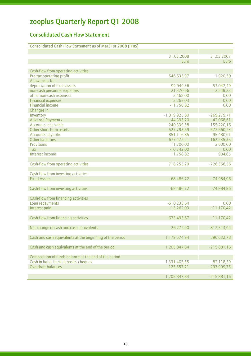### Consolidated Cash Flow Statement

|                                                          | 31.03.2008      | 31.03.2007    |
|----------------------------------------------------------|-----------------|---------------|
|                                                          | Euro            | Euro          |
|                                                          |                 |               |
| Cash-flow from operating activities                      |                 |               |
| Pre-tax operating profit                                 | 546.633,97      | 1.920,30      |
| Allowances for:                                          |                 |               |
| depreciation of fixed assets                             | 92.049,36       | 53.042,49     |
| non-cash personnel expenses                              | 21.370,66       | 12.549,23     |
| other non-cash expenses                                  | 3.468,00        | 0,00          |
| <b>Financial expenses</b>                                | 13.262,03       | 0,00          |
| <b>Financial income</b>                                  | $-11.758,82$    | 0,00          |
| Changes in:                                              |                 |               |
| Inventory                                                | $-1.819.925,60$ | $-269.279,71$ |
| <b>Advance Payments</b>                                  | 44.395,70       | 42.068,61     |
| <b>Accounts receivable</b>                               | $-240.339,58$   | $-155.220,16$ |
| Other short-term assets                                  | 527.793,69      | $-672.660,23$ |
| Accounts payable                                         | 851.116,85      | 95.480,91     |
| <b>Other liabilities</b>                                 | 677.472,21      | 162.235,35    |
| Provisions                                               | 11.700,00       | 2.600,00      |
| <b>Tax</b>                                               | $-10.742,00$    | 0,00          |
| Interest income                                          | 11.758,82       | 904,65        |
|                                                          |                 |               |
| Cash-flow from operating activities                      | 718.255,29      | $-726.358,56$ |
|                                                          |                 |               |
| Cash-flow from investing activities                      |                 |               |
| <b>Fixed Assets</b>                                      | $-68.486,72$    | $-74.984,96$  |
| Cash-flow from investing activities                      | $-68.486,72$    | $-74.984,96$  |
|                                                          |                 |               |
| Cash-flow from financing activities                      |                 |               |
| Loan repayments                                          | $-610.233,64$   | 0,00          |
| Interest paid                                            | $-13.262,03$    | $-11.170,42$  |
|                                                          |                 |               |
| Cash-flow from financing activities                      | $-623.495,67$   | $-11.170,42$  |
|                                                          |                 |               |
| Net change of cash and cash equivalents                  | 26.272,90       | $-812.513,94$ |
|                                                          |                 |               |
| Cash and cash equivalents at the beginning of the period | 1.179.574,94    | 596.632,78    |
| Cash and cash equivalents at the end of the period       | 1.205.847,84    | $-215.881,16$ |
|                                                          |                 |               |
| Composition of funds balance at the end of the period    |                 |               |
| Cash in hand, bank deposits, cheques                     | 1.331.405,55    | 82.118,59     |
| Overdraft balances                                       | $-125.557,71$   | $-297.999,75$ |
|                                                          |                 |               |
|                                                          | 1.205.847,84    | $-215.881,16$ |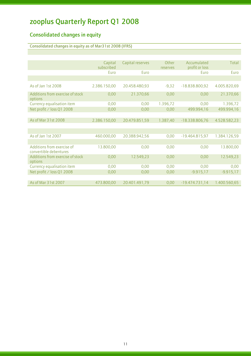### Consolidated changes in equity

l

### Consolidated changes in equity as of Mar31st 2008 (IFRS)

|                                                      | Capital      | Capital reserves | Other    | Accumulated      | Total        |
|------------------------------------------------------|--------------|------------------|----------|------------------|--------------|
|                                                      | subscribed   |                  | reserves | profit or loss   |              |
|                                                      | Euro         | Euro             |          | Euro             | Euro         |
|                                                      |              |                  |          |                  |              |
| As of Jan 1st 2008                                   | 2.386.150,00 | 20.458.480,93    | $-9,32$  | -18.838.800,92   | 4.005.820,69 |
| Additions from exercise of stock<br>options          | 0,00         | 21.370,66        | 0,00     | 0,00             | 21.370,66    |
| Currency equalisation item                           | 0,00         | 0,00             | 1.396,72 | 0,00             | 1.396,72     |
| Net profit / loss Q1 2008                            | 0,00         | 0,00             | 0,00     | 499.994,16       | 499.994,16   |
|                                                      |              |                  |          |                  |              |
| As of Mar 31st 2008                                  | 2.386.150,00 | 20.479.851,59    | 1.387,40 | -18.338.806,76   | 4.528.582,23 |
|                                                      |              |                  |          |                  |              |
|                                                      |              |                  |          |                  |              |
| As of Jan 1st 2007                                   | 460.000,00   | 20.388.942,56    | 0,00     | $-19.464.815,97$ | 1.384.126,59 |
|                                                      |              |                  |          |                  |              |
| Additions from exercise of<br>convertible debentures | 13.800,00    | 0,00             | 0,00     | 0,00             | 13.800,00    |
| Additions from exercise of stock<br>options          | 0,00         | 12.549,23        | 0,00     | 0,00             | 12.549,23    |
| Currency equalisation item                           | 0,00         | 0,00             | 0,00     | 0,00             | 0,00         |
| Net profit / loss Q1 2008                            | 0,00         | 0,00             | 0,00     | $-9.915,17$      | $-9.915,17$  |
|                                                      |              |                  |          |                  |              |
| As of Mar 31st 2007                                  | 473.800,00   | 20.401.491,79    | 0,00     | $-19.474.731,14$ | 1.400.560,65 |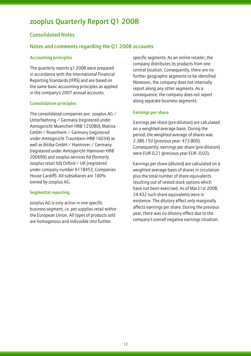### Consolidated Notes

l

### Notes and comments regarding the Q1 2008 accounts

#### Accounting principles

The quarterly reports q1 2008 were prepared in accordance with the International Financial Reporting Standards (IFRS) and are based on the same basic accounting principles as applied in the company's 2007 annual accounts.

#### Consolidation principles

The consolidated companies are: zooplus AG / Unterfoehring / Germany (registered under Amtsgericht Muenchen HRB 125080), Matina GmbH / Rosenheim / Germany (registered under Amtsgericht Traunstein HRB 16034) as well as Bitiba GmbH / Hannover / Germany (registered under Amtsgericht Hannover HRB 200699) and zooplus services ltd (formerly zooplus retail ltd) Oxford / UK (registered under company number 6118453, Companies House Cardiff). All subsidiaries are 100% owned by zooplus AG.

#### Segmental reporting

zooplus AG is only active in one specific business segment; i.e. pet supplies retail within the European Union. All types of products sold are homogenous and indivisible into further

specific segments. As an online retailer, the company distributes its products from one central location. Consequently, there are no further geographic segments to be identified. Moreover, the company does not internally report along any other segments. As a consequence, the company does not report along separate business segments.

#### Earnings per share

Earnings per share (pre-dilution) are calculated on a weighted-average basis. During the period, the weighted average of shares was 2.386.150 (previous year: 473.800). Consequently, earnings per share (pre-dilution) were EUR 0,21 (previous year EUR -0,02).

Earnings per share (diluted) are calculated on a weighted-average basis of shares in circulation plus the total number of share equivalents resulting out of vested stock options which have not been exercised. As of Mar31st 2008, 24.432 such share equivalents were in existence. The dilutory effect only marginally affects earnings per share. During the previous year, there was no dilutory effect due to the company's overall negative earnings situation.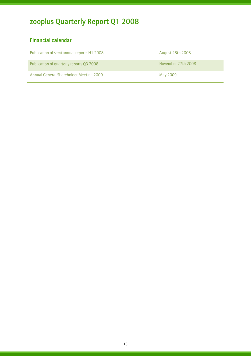### Financial calendar

| Publication of semi annual reports H1 2008 | August 28th 2008   |
|--------------------------------------------|--------------------|
| Publication of quarterly reports Q3 2008   | November 27th 2008 |
| Annual General Shareholder Meeting 2009    | May 2009           |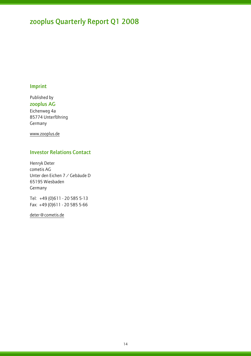### Imprint

l

Published by zooplus AG Eichenweg 4a 85774 Unterföhring Germany

www.zooplus.de

### Investor Relations Contact

Henryk Deter cometis AG Unter den Eichen 7 / Gebäude D 65195 Wiesbaden Germany

Tel: +49 (0)611 - 20 585 5-13 Fax: +49 (0)611 - 20 585 5-66

deter@cometis.de